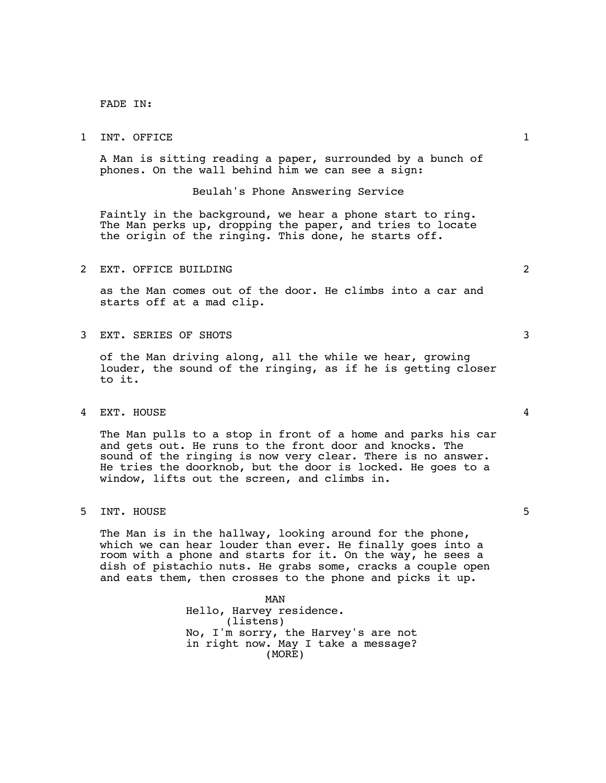FADE IN:

## 1 INT. OFFICE 1

A Man is sitting reading a paper, surrounded by a bunch of phones. On the wall behind him we can see a sign:

## Beulah's Phone Answering Service

Faintly in the background, we hear a phone start to ring.<br>The Man perks up, dropping the paper, and tries to locate the origin of the ringing. This done, he starts off.

## 2 EXT. OFFICE BUILDING 2

as the Man comes out of the door. He climbs into a car and starts off at a mad clip.

3 EXT. SERIES OF SHOTS 3

of the Man driving along, all the while we hear, growing louder, the sound of the ringing, as if he is getting closer to it.

4 EXT. HOUSE 4

The Man pulls to a stop in front of a home and parks his car and gets out. He runs to the front door and knocks. The sound of the ringing is now very clear. There is no answer. He tries the doorknob, but the door is locked. He goes to a window, lifts out the screen, and climbs in.

5 INT. HOUSE 5

The Man is in the hallway, looking around for the phone, which we can hear louder than ever. He finally goes into a room with a phone and starts for it. On the way, he sees a dish of pistachio nuts. He grabs some, cracks a couple open and eats them, then crosses to the phone and picks it up.

> MAN Hello, Harvey residence. (listens) No, I'm sorry, the Harvey's are not in right now. May I take a message? (MORE)